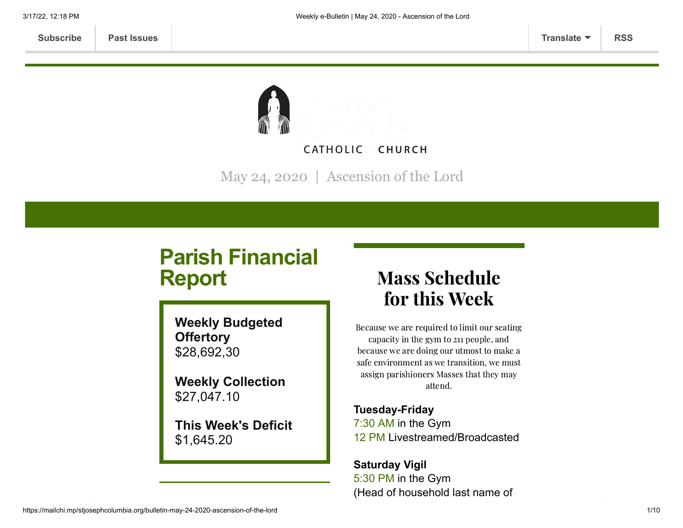

May 24, 2020 | Ascension of the Lord

# **Parish Financial Report**

**Weekly Budgeted Offertory** \$28,692,30

**Weekly Collection** \$27,047.10

**This Week's Deficit** \$1,645.20

# Mass Schedule for this Week

Because we are required to limit our seating capacity in the gym to 211 people, and because we are doing our utmost to make a safe environment as we transition, we must assign parishioners Masses that they may attend.

**Tuesday-Friday** 7:30 AM in the Gym 12 PM Livestreamed/Broadcasted

**Saturday Vigil** 5:30 PM in the Gym (Head of household last name of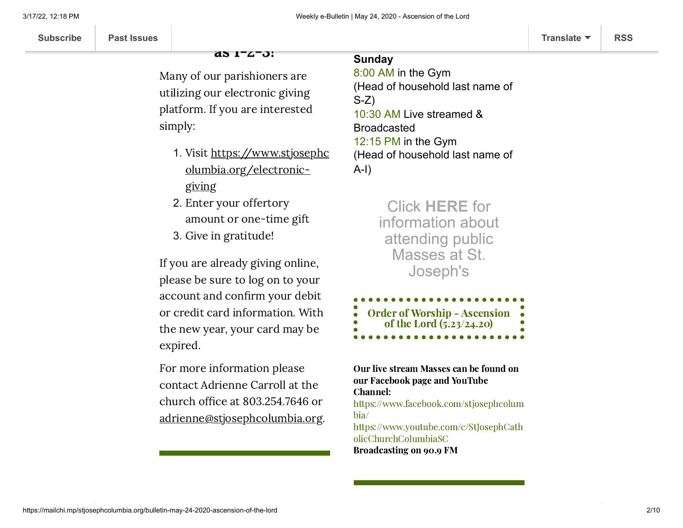### as 1-2-3!

Many of our parishioners are utilizing our electronic giving platform. If you are interested simply:

- 1. Visit https://www.stjosephc [olumbia.org/electronic](https://www.stjosephcolumbia.org/electronic-giving)giving
- 2. Enter your offertory amount or one-time gift
- 3. Give in gratitude!

If you are already giving online, please be sure to log on to your account and confirm your debit or credit card information. With the new year, your card may be expired.

For more information please contact Adrienne Carroll at the church office at 803.254.7646 or [adrienne@stjosephcolumbia.org](mailto:adrienne@stjosephcolumbia.org).

## **Sunday**

8:00 AM in the Gym (Head of household last name of S-Z) 10:30 AM Live streamed & Broadcasted 12:15 PM in the Gym (Head of household last name of A-I)

> Click **[HERE](https://www.stjosephcolumbia.org/resuming-public-masses)** for information about attending public Masses at St. Joseph's

| $\bullet$ | <b>Order of Worship - Ascension</b> |
|-----------|-------------------------------------|
| $\bullet$ | of the Lord $(5.23/24.20)$          |
|           |                                     |

Our live stream Masses can be found on our Facebook page and YouTube Channel: [https://www.facebook.com/stjosephcolum](https://www.facebook.com/stjosephcolumbia/) bia/ [https://www.youtube.com/c/StJosephCath](https://www.youtube.com/c/StJosephCatholicChurchColumbiaSC) olicChurchColumbiaSC Broadcasting on 90.9 FM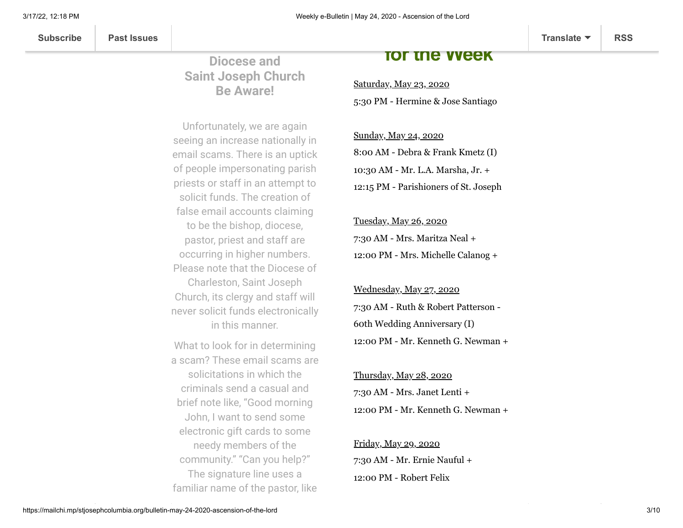## **Diocese and Saint Joseph Church Be Aware!**

**Parishioners of the**

Unfortunately, we are again seeing an increase nationally in email scams. There is an uptick of people impersonating parish priests or staff in an attempt to solicit funds. The creation of false email accounts claiming to be the bishop, diocese, pastor, priest and staff are occurring in higher numbers. Please note that the Diocese of Charleston, Saint Joseph Church, its clergy and staff will never solicit funds electronically in this manner.

What to look for in determining a scam? These email scams are solicitations in which the criminals send a casual and brief note like, "Good morning John, I want to send some electronic gift cards to some needy members of the community." "Can you help?" The signature line uses a familiar name of the pastor, like

# **for the Week**

Saturday, May 23, 2020 5:30 PM - Hermine & Jose Santiago

Sunday, May 24, 2020 8:00 AM - Debra & Frank Kmetz (I) 10:30 AM - Mr. L.A. Marsha, Jr. + 12:15 PM - Parishioners of St. Joseph

Tuesday, May 26, 2020 7:30 AM - Mrs. Maritza Neal + 12:00 PM - Mrs. Michelle Calanog +

Wednesday, May 27, 2020 7:30 AM - Ruth & Robert Patterson - 60th Wedding Anniversary (I) 12:00 PM - Mr. Kenneth G. Newman +

Thursday, May 28, 2020 7:30 AM - Mrs. Janet Lenti + 12:00 PM - Mr. Kenneth G. Newman +

Friday, May 29, 2020 7:30 AM - Mr. Ernie Nauful + 12:00 PM - Robert Felix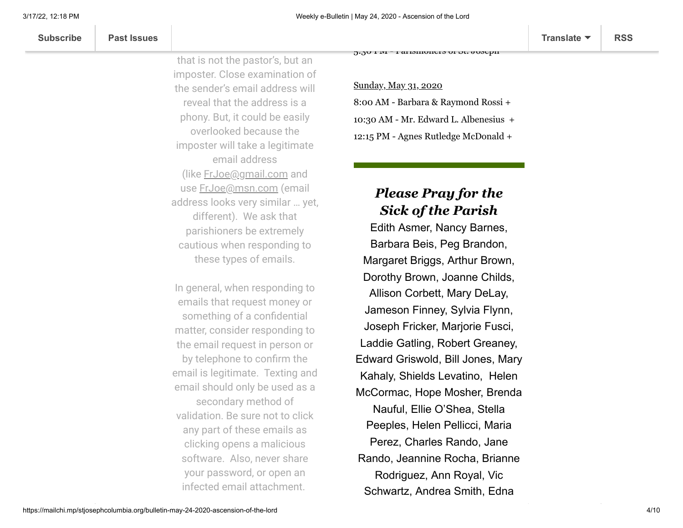| Subscrib |  |  |
|----------|--|--|
|          |  |  |

 $3.30$  PM  $-$  Parismoners of St. absching

imposter. Close examination of the sender's email address will reveal that the address is a phony. But, it could be easily overlooked because the imposter will take a legitimate email address (like [FrJoe@gmail.com](mailto:FrJoe@gmail.com) and use [FrJoe@msn.com](mailto:FrJoe@msn.com) (email address looks very similar … yet, different). We ask that

parishioners be extremely cautious when responding to these types of emails.

that is not the pastor's, but an

In general, when responding to emails that request money or something of a confidential matter, consider responding to the email request in person or by telephone to confirm the email is legitimate. Texting and email should only be used as a secondary method of validation. Be sure not to click any part of these emails as clicking opens a malicious software. Also, never share your password, or open an infected email attachment.

Sunday, May 31, 2020 8:00 AM - Barbara & Raymond Rossi + 10:30 AM - Mr. Edward L. Albenesius + 12:15 PM - Agnes Rutledge McDonald +

# *Please Pray for the Sick of the Parish*

Edith Asmer, Nancy Barnes, Barbara Beis, Peg Brandon, Margaret Briggs, Arthur Brown, Dorothy Brown, Joanne Childs, Allison Corbett, Mary DeLay, Jameson Finney, Sylvia Flynn, Joseph Fricker, Marjorie Fusci, Laddie Gatling, Robert Greaney, Edward Griswold, Bill Jones, Mary Kahaly, Shields Levatino, Helen McCormac, Hope Mosher, Brenda Nauful, Ellie O'Shea, Stella Peeples, Helen Pellicci, Maria Perez, Charles Rando, Jane Rando, Jeannine Rocha, Brianne Rodriguez, Ann Royal, Vic Schwartz, Andrea Smith, Edna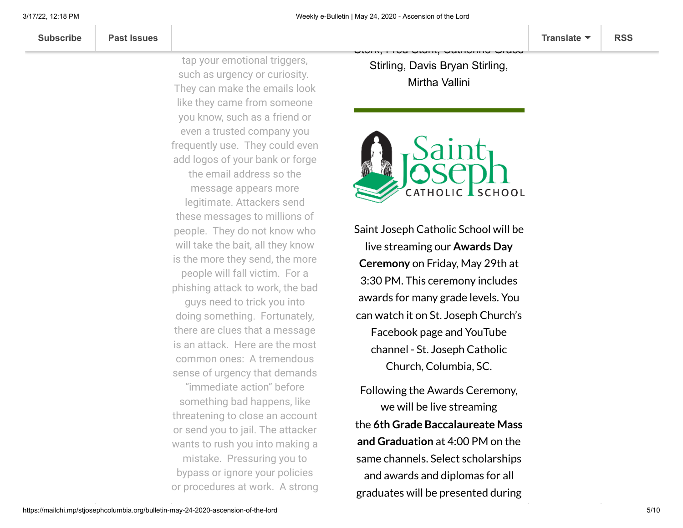**[Subscribe](http://eepurl.com/ded6Lz) [Past Issues](https://us9.campaign-archive.com/home/?u=7399f6b35c8ab775fb1714c3d&id=770b4a80d3) [Translate](javascript:;) [RSS](https://us9.campaign-archive.com/feed?u=7399f6b35c8ab775fb1714c3d&id=770b4a80d3)**

tap your emotional triggers, such as urgency or curiosity. They can make the emails look like they came from someone you know, such as a friend or even a trusted company you frequently use. They could even add logos of your bank or forge the email address so the message appears more legitimate. Attackers send these messages to millions of people. They do not know who will take the bait, all they know is the more they send, the more people will fall victim. For a phishing attack to work, the bad guys need to trick you into doing something. Fortunately, there are clues that a message is an attack. Here are the most common ones: A tremendous sense of urgency that demands "immediate action" before something bad happens, like threatening to close an account or send you to jail. The attacker wants to rush you into making a mistake. Pressuring you to bypass or ignore your policies or procedures at work. A strong

Stirling, Davis Bryan Stirling, Mirtha Vallini

Stork, Fred Stork, Catherine Grace



Saint Joseph Catholic School will be live streaming our **Awards Day Ceremony** on Friday, May 29th at 3:30 PM. This ceremony includes awards for many grade levels. You can watch it on St. Joseph Church's Facebook page and YouTube channel - St. Joseph Catholic Church, Columbia, SC.

Following the Awards Ceremony, we will be live streaming the **6th Grade Baccalaureate Mass and Graduation** at 4:00 PM on the same channels. Select scholarships and awards and diplomas for all graduates will be presented during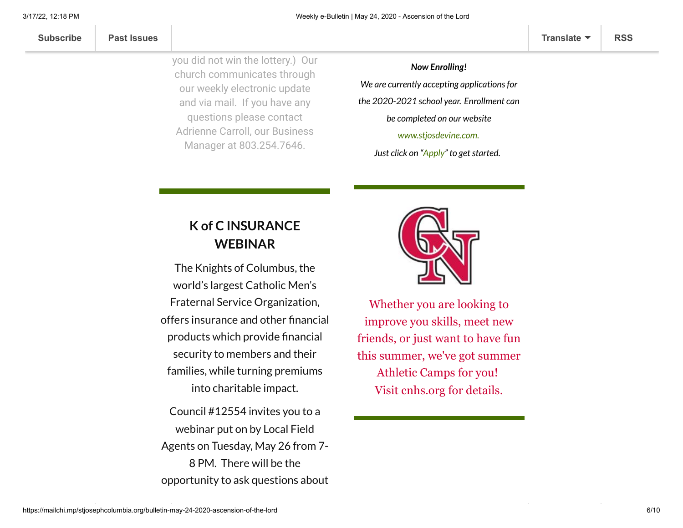| Subscribe |
|-----------|
|-----------|

you did not win the lottery.) Our church communicates through our weekly electronic update and via mail. If you have any questions please contact Adrienne Carroll, our Business Manager at 803.254.7646.

*Now Enrolling! We are currently accepting applicationsfor the 2020-2021 school year. Enrollment can be completed on our website [www.stjosdevine.com](http://www.stjosdevine.com/).*

*Just click* on "[Apply"](https://sjs-sc.client.renweb.com/oa/index.cfm?memberid=1846) to get started.

# **K of C INSURANCE WEBINAR**

The Knights of Columbus, the world's largest Catholic Men's Fraternal Service Organization, offers insurance and other financial products which provide financial security to members and their families, while turning premiums into charitable impact.

Council #12554 invites you to a webinar put on by Local Field Agents on Tuesday, May 26 from 7- 8 PM. There will be the opportunity to ask questions about



Whether you are looking to improve you skills, meet new friends, or just want to have fun this summer, we've got summer Athletic Camps for you! Visit [cnhs.org](https://linkprotect.cudasvc.com/url?a=http%3a%2f%2fcnhs.org%2f&c=E,1,I5wpWqvp8f4beWmMMbEQ4hVEhQWwrBao87jdDlgN18LR3U-8DdGNM0IPEU7XNLAlKZMk4De-9WJy06Xkk3ZBptGdzQ-Ynor5fTtK6WlhPQ,,&typo=1) for details.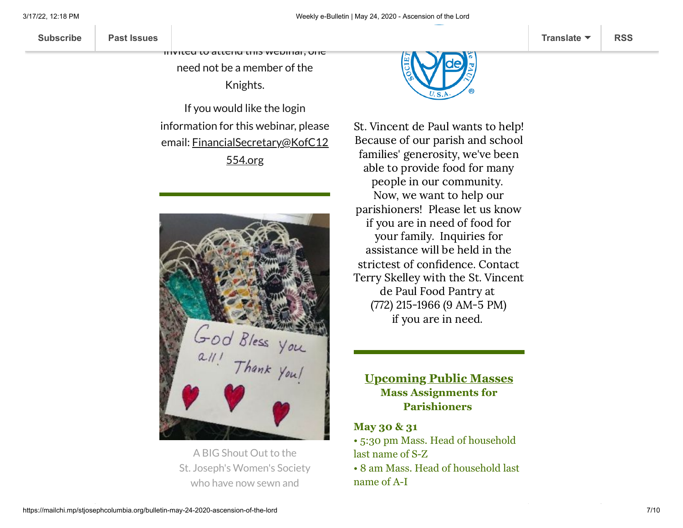invited to attend this webinar, one

insurance and retirement. ALL are

need not be a member of the

Knights.

If you would like the login information for this webinar, please email: [FinancialSecretary@KofC12](mailto:FinancialSecretary@KofC12554.org) 554.org



A BIG Shout Out to the St. Joseph's Women's Society who have now sewn and



St. Vincent de Paul wants to help! Because of our parish and school families' generosity, we've been able to provide food for many people in our community. Now, we want to help our parishioners! Please let us know if you are in need of food for your family. Inquiries for assistance will be held in the strictest of confidence. Contact Terry Skelley with the St. Vincent de Paul Food Pantry at (772) 215-1966 (9 AM-5 PM) if you are in need.

**Upcoming Public Masses Mass Assignments for Parishioners**

### **May 30 & 31**

• 5:30 pm Mass. Head of household last name of S-Z • 8 am Mass. Head of household last name of A-I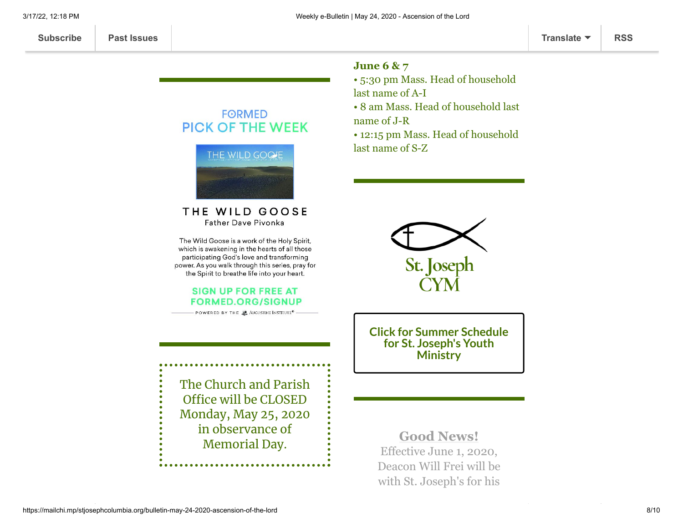### **FORMED PICK OF THE WEEK**

Ya'll are the BEST!



#### THE WILD GOOSE **Father Dave Pivonka**

The Wild Goose is a work of the Holy Spirit, which is awakening in the hearts of all those participating God's love and transforming power. As you walk through this series, pray for the Spirit to breathe life into your heart.

#### **SIGN UP FOR FREE AT FORMED.ORG/SIGNUP**

— POWERED BY THE 28 AUGUSTINE INSTITUTE<sup>®</sup>

The Church and Parish Office will be CLOSED Monday, May 25, 2020 in observance of Memorial Day.

### **June 6 & 7**

• 5:30 pm Mass. Head of household last name of A-I • 8 am Mass. Head of household last name of J-R

• 12:15 pm Mass. Head of household last name of S-Z



**Click for Summer [Schedule](https://mailchi.mp/9dcf915f8b7d/stjcym-news-events-052120) for St. Joseph's Youth Ministry**

**Good News!** Effective June 1, 2020, Deacon Will Frei will be with St. Joseph's for his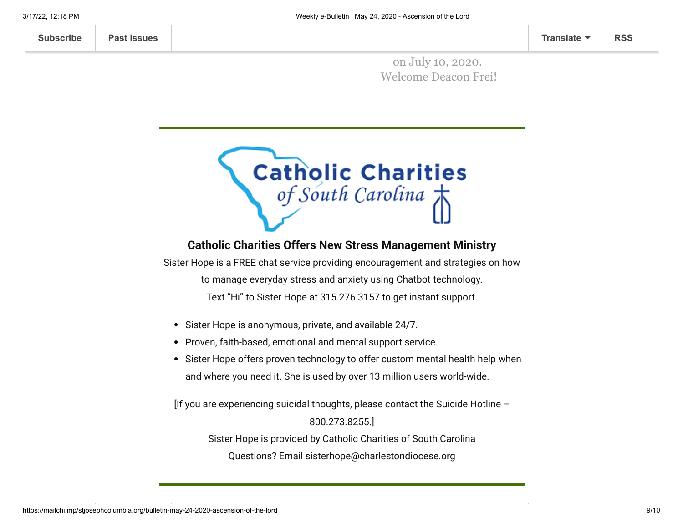**[Subscribe](http://eepurl.com/ded6Lz) [Past Issues](https://us9.campaign-archive.com/home/?u=7399f6b35c8ab775fb1714c3d&id=770b4a80d3) [Translate](javascript:;) [RSS](https://us9.campaign-archive.com/feed?u=7399f6b35c8ab775fb1714c3d&id=770b4a80d3)**

on July 10, 2020. Welcome Deacon Frei!

his Ordination



### **Catholic Charities Offers New Stress Management Ministry**

Sister Hope is a FREE chat service providing encouragement and strategies on how to manage everyday stress and anxiety using Chatbot technology. Text "Hi" to Sister Hope at 315.276.3157 to get instant support.

- Sister Hope is anonymous, private, and available 24/7.
- Proven, faith-based, emotional and mental support service.
- Sister Hope offers proven technology to offer custom mental health help when and where you need it. She is used by over 13 million users world-wide.

[If you are experiencing suicidal thoughts, please contact the Suicide Hotline –

800.273.8255.]

Sister Hope is provided by Catholic Charities of South Carolina

Questions? Email sisterhope@charlestondiocese.org